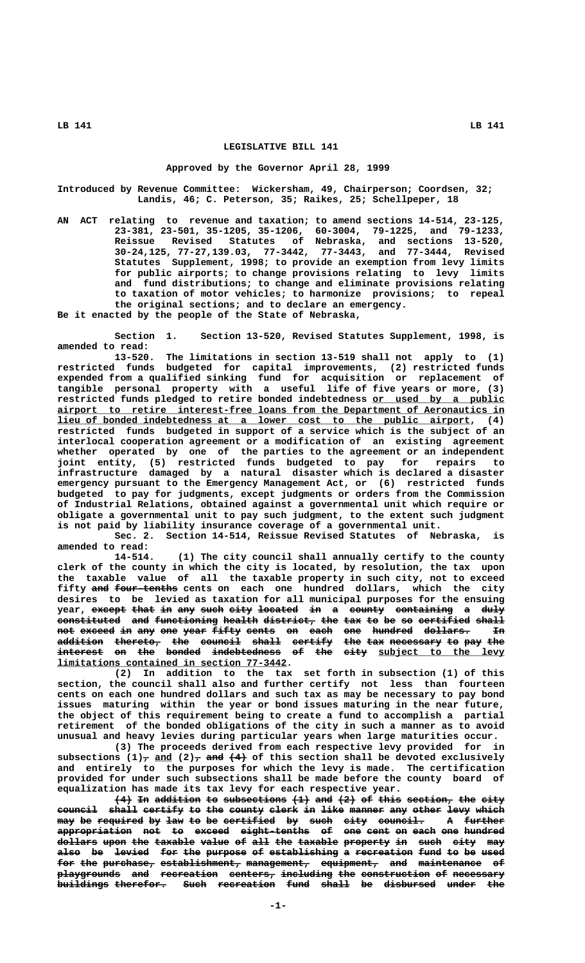### **LEGISLATIVE BILL 141**

### **Approved by the Governor April 28, 1999**

**Introduced by Revenue Committee: Wickersham, 49, Chairperson; Coordsen, 32; Landis, 46; C. Peterson, 35; Raikes, 25; Schellpeper, 18**

**AN ACT relating to revenue and taxation; to amend sections 14-514, 23-125, 23-381, 23-501, 35-1205, 35-1206, 60-3004, 79-1225, and 79-1233, Reissue Revised Statutes of Nebraska, and sections 13-520, 30-24,125, 77-27,139.03, 77-3442, 77-3443, and 77-3444, Revised Statutes Supplement, 1998; to provide an exemption from levy limits for public airports; to change provisions relating to levy limits and fund distributions; to change and eliminate provisions relating to taxation of motor vehicles; to harmonize provisions; to repeal the original sections; and to declare an emergency.**

**Be it enacted by the people of the State of Nebraska,**

**Section 1. Section 13-520, Revised Statutes Supplement, 1998, is amended to read:**

**13-520. The limitations in section 13-519 shall not apply to (1) restricted funds budgeted for capital improvements, (2) restricted funds expended from a qualified sinking fund for acquisition or replacement of tangible personal property with a useful life of five years or more, (3) restricted funds pledged to retire bonded indebtedness or used by a public \_\_\_\_\_\_\_\_\_\_\_\_\_\_\_\_\_\_\_\_\_\_\_**  $\frac{ \text{ airport}}{ \text{ to} \text{ retire} \text{ interest-free loans from the Department of Aeronautics in} }$  **\_\_\_\_\_\_\_\_\_\_\_\_\_\_\_\_\_\_\_\_\_\_\_\_\_\_\_\_\_\_\_\_\_\_\_\_\_\_\_\_\_\_\_\_\_\_\_\_\_\_\_\_\_\_\_\_\_\_\_\_\_\_\_\_\_\_\_\_\_\_\_\_ lieu of bonded indebtedness at a lower cost to the public airport, (4) restricted funds budgeted in support of a service which is the subject of an interlocal cooperation agreement or a modification of an existing agreement whether operated by one of the parties to the agreement or an independent joint entity, (5) restricted funds budgeted to pay for repairs to infrastructure damaged by a natural disaster which is declared a disaster emergency pursuant to the Emergency Management Act, or (6) restricted funds budgeted to pay for judgments, except judgments or orders from the Commission of Industrial Relations, obtained against a governmental unit which require or obligate a governmental unit to pay such judgment, to the extent such judgment is not paid by liability insurance coverage of a governmental unit.**

**Sec. 2. Section 14-514, Reissue Revised Statutes of Nebraska, is amended to read:**

**14-514. (1) The city council shall annually certify to the county clerk of the county in which the city is located, by resolution, the tax upon the taxable value of all the taxable property in such city, not to exceed ——— ——————————— fifty and four-tenths cents on each one hundred dollars, which the city desires to be levied as taxation for all municipal purposes for the ensuing** year, except that in any such city located in a county containing a duly **constituted** and functioning health district, the tax to be so certified shall **not exceed in any one year fifty cents on each one hundred dollars. In ——— —————— —— ——— ——— ———— ————— ————— —— ———— ——— ——————— ———————— — addition thereto, the council shall certify the tax necessary to pay the ———————— ———————— ——— ——————— ————— ——————— ——— ——— ————————— —— ——— —— interest on the bonded indebtedness of the city subject to the levy ———————— —— ——— —————— ———————————— —— ——— ———— \_\_\_\_\_\_\_\_\_\_\_\_\_\_\_\_\_\_\_\_\_\_ \_\_\_\_\_\_\_\_\_\_\_\_\_\_\_\_\_\_\_\_\_\_\_\_\_\_\_\_\_\_\_\_\_\_\_\_\_\_\_\_ limitations contained in section 77-3442.**

**(2) In addition to the tax set forth in subsection (1) of this section, the council shall also and further certify not less than fourteen cents on each one hundred dollars and such tax as may be necessary to pay bond issues maturing within the year or bond issues maturing in the near future, the object of this requirement being to create a fund to accomplish a partial retirement of the bonded obligations of the city in such a manner as to avoid unusual and heavy levies during particular years when large maturities occur.**

**(3) The proceeds derived from each respective levy provided for in** subsections  $(1)$ <sub>7</sub> and  $(2)$ <sub>7</sub> and  $(4)$  of this section shall be devoted exclusively **and entirely to the purposes for which the levy is made. The certification provided for under such subsections shall be made before the county board of equalization has made its tax levy for each respective year.**

 $(4)$  <del>In</del> addition to subsections  $(1)$  and  $(2)$  of this section, the city **council shall certify to the county clerk in like manner any other levy which ——————— ————— ——————— —— ——— —————— ————— —— ———— —————— ——— ————— ———— ————** may be <del>required</del> by <del>law to</del> be <del>certified by such city council.</del> **appropriation not to exceed eight-tenths of one cent on each one hundred ————————————— ——— —— —————— ———————————— —— ——— ———— —— ———— ——— ——————** dollars upon the taxable value of all the taxable property in such city may also be levied for the purpose of establishing a recreation fund to be used for the purchase, establishment, management, equipment, and maintenance of  ${\tt playerounds}$  and recreation centers, including the construction of necessary **buildings therefor.** Such recreation fund shall be disbursed under the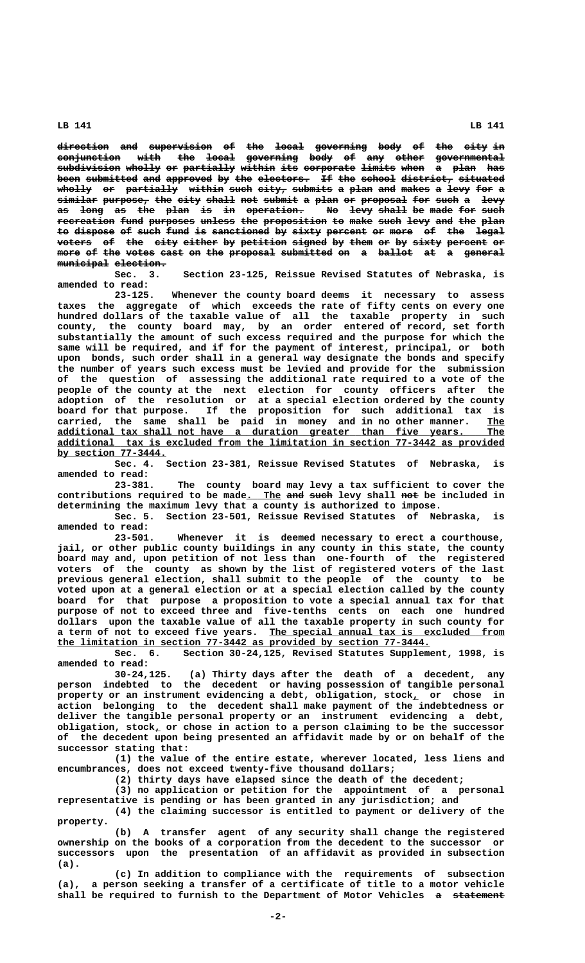**direction and supervision of the local governing body of the city in ————————— ——— ——————————— —— ——— ————— ————————— ———— —— ——— ———— —** conjunction with the local governing body of any other governmental subdivision wholly or partially within its corporate limits when a plan has been submitted and approved by the electors. If the school district, situated wholly or partially within such city, submits a plan and makes a levy for a  $s$ imilar purpose, the city shall not submit a plan or proposal for such a levy as long as the plan is in operation. No levy shall be made for such recreation fund purposes unless the proposition to make such levy and the plan to dispose of such fund is sanctioned by sixty percent or more of the legal **voters** of the city either by petition signed by them or by sixty percent or more of the votes cast on the proposal submitted on a ballot at a general  $m$ unicipal election.

**Sec. 3. Section 23-125, Reissue Revised Statutes of Nebraska, is amended to read:**

**23-125. Whenever the county board deems it necessary to assess taxes the aggregate of which exceeds the rate of fifty cents on every one hundred dollars of the taxable value of all the taxable property in such county, the county board may, by an order entered of record, set forth substantially the amount of such excess required and the purpose for which the same will be required, and if for the payment of interest, principal, or both upon bonds, such order shall in a general way designate the bonds and specify the number of years such excess must be levied and provide for the submission of the question of assessing the additional rate required to a vote of the people of the county at the next election for county officers after the adoption of the resolution or at a special election ordered by the county board for that purpose. If the proposition for such additional tax is carried, the same shall be paid in money and in no other manner. The \_\_\_ \_\_\_\_\_\_\_\_\_\_\_\_\_\_\_\_\_\_\_\_\_\_\_\_\_\_\_\_\_\_\_\_\_\_\_\_\_\_\_\_\_\_\_\_\_\_\_\_\_\_\_\_\_\_\_\_\_\_\_\_\_\_\_\_\_\_\_\_\_\_\_\_\_\_\_\_\_\_ additional tax shall not have a duration greater than five years. The \_\_\_\_\_\_\_\_\_\_\_\_\_\_\_\_\_\_\_\_\_\_\_\_\_\_\_\_\_\_\_\_\_\_\_\_\_\_\_\_\_\_\_\_\_\_\_\_\_\_\_\_\_\_\_\_\_\_\_\_\_\_\_\_\_\_\_\_\_\_\_\_\_\_\_\_\_\_ additional tax is excluded from the limitation in section 77-3442 as provided \_\_\_\_\_\_\_\_\_\_\_\_\_\_\_\_\_\_\_ by section 77-3444.**

**Sec. 4. Section 23-381, Reissue Revised Statutes of Nebraska, is amended to read:**

The county board may levy a tax sufficient to cover the contributions required to be made. The and such levy shall not be included in **determining the maximum levy that a county is authorized to impose.**

**Sec. 5. Section 23-501, Reissue Revised Statutes of Nebraska, is amended to read:**

**23-501. Whenever it is deemed necessary to erect a courthouse, jail, or other public county buildings in any county in this state, the county board may and, upon petition of not less than one-fourth of the registered voters of the county as shown by the list of registered voters of the last previous general election, shall submit to the people of the county to be voted upon at a general election or at a special election called by the county board for that purpose a proposition to vote a special annual tax for that purpose of not to exceed three and five-tenths cents on each one hundred dollars upon the taxable value of all the taxable property in such county for \_\_\_\_\_\_\_\_\_\_\_\_\_\_\_\_\_\_\_\_\_\_\_\_\_\_\_\_\_\_\_\_\_\_\_\_\_\_\_\_\_ a term of not to exceed five years. The special annual tax is excluded from \_\_\_\_\_\_\_\_\_\_\_\_\_\_\_\_\_\_\_\_\_\_\_\_\_\_\_\_\_\_\_\_\_\_\_\_\_\_\_\_\_\_\_\_\_\_\_\_\_\_\_\_\_\_\_\_\_\_\_\_\_\_\_\_\_ the limitation in section 77-3442 as provided by section 77-3444.**

Section 30-24,125, Revised Statutes Supplement, 1998, is **amended to read:**

**30-24,125. (a) Thirty days after the death of a decedent, any person indebted to the decedent or having possession of tangible personal property or an instrument evidencing a debt, obligation, stock, or chose in \_ action belonging to the decedent shall make payment of the indebtedness or deliver the tangible personal property or an instrument evidencing a debt, \_ obligation, stock, or chose in action to a person claiming to be the successor of the decedent upon being presented an affidavit made by or on behalf of the successor stating that:**

**(1) the value of the entire estate, wherever located, less liens and encumbrances, does not exceed twenty-five thousand dollars;**

**(2) thirty days have elapsed since the death of the decedent;**

**(3) no application or petition for the appointment of a personal representative is pending or has been granted in any jurisdiction; and**

**(4) the claiming successor is entitled to payment or delivery of the property.**

**(b) A transfer agent of any security shall change the registered ownership on the books of a corporation from the decedent to the successor or successors upon the presentation of an affidavit as provided in subsection (a).**

**(c) In addition to compliance with the requirements of subsection (a), a person seeking a transfer of a certificate of title to a motor vehicle** shall be required to furnish to the Department of Motor Vehicles a statement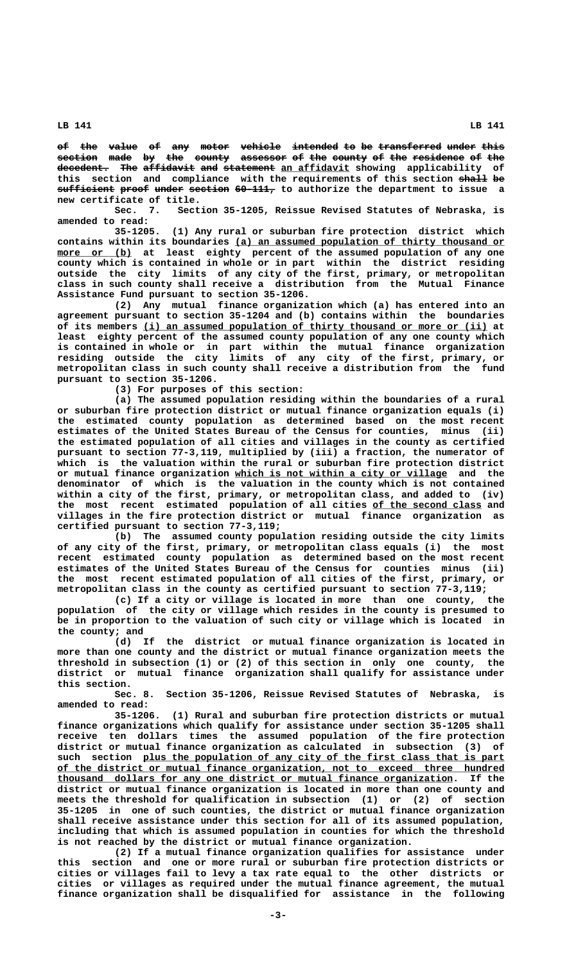**of the value of any motor vehicle intended to be transferred under this —— ——— ————— —— ——— ————— ——————— ———————— —— —— ——————————— ————— ———** section made by the county assessor of the county of the residence of the decedent. The affidavit and statement an affidavit showing applicability of this section and compliance with the requirements of this section shall be  $\frac{1}{\text{surface}}$  proof under section 60-111, to authorize the department to issue a **new certificate of title.**

**Sec. 7. Section 35-1205, Reissue Revised Statutes of Nebraska, is amended to read:**

**35-1205. (1) Any rural or suburban fire protection district which** contains within its boundaries (a) an assumed population of thirty thousand or  $\frac{more~or~(b)}{arc}$  at least eighty percent of the assumed population of any one **county which is contained in whole or in part within the district residing outside the city limits of any city of the first, primary, or metropolitan class in such county shall receive a distribution from the Mutual Finance Assistance Fund pursuant to section 35-1206.**

**(2) Any mutual finance organization which (a) has entered into an agreement pursuant to section 35-1204 and (b) contains within the boundaries \_\_\_\_\_\_\_\_\_\_\_\_\_\_\_\_\_\_\_\_\_\_\_\_\_\_\_\_\_\_\_\_\_\_\_\_\_\_\_\_\_\_\_\_\_\_\_\_\_\_\_\_\_\_\_\_\_\_\_\_ of its members (i) an assumed population of thirty thousand or more or (ii) at least eighty percent of the assumed county population of any one county which is contained in whole or in part within the mutual finance organization residing outside the city limits of any city of the first, primary, or metropolitan class in such county shall receive a distribution from the fund pursuant to section 35-1206.**

**(3) For purposes of this section:**

**(a) The assumed population residing within the boundaries of a rural or suburban fire protection district or mutual finance organization equals (i) the estimated county population as determined based on the most recent estimates of the United States Bureau of the Census for counties, minus (ii) the estimated population of all cities and villages in the county as certified pursuant to section 77-3,119, multiplied by (iii) a fraction, the numerator of which is the valuation within the rural or suburban fire protection district \_\_\_\_\_\_\_\_\_\_\_\_\_\_\_\_\_\_\_\_\_\_\_\_\_\_\_\_\_\_\_\_\_\_\_\_\_ or mutual finance organization which is not within a city or village and the denominator of which is the valuation in the county which is not contained within a city of the first, primary, or metropolitan class, and added to (iv)** the most recent estimated population of all cities of the second class and **villages in the fire protection district or mutual finance organization as certified pursuant to section 77-3,119;**

**(b) The assumed county population residing outside the city limits of any city of the first, primary, or metropolitan class equals (i) the most recent estimated county population as determined based on the most recent estimates of the United States Bureau of the Census for counties minus (ii) the most recent estimated population of all cities of the first, primary, or metropolitan class in the county as certified pursuant to section 77-3,119;**

**(c) If a city or village is located in more than one county, the population of the city or village which resides in the county is presumed to be in proportion to the valuation of such city or village which is located in the county; and**

**(d) If the district or mutual finance organization is located in more than one county and the district or mutual finance organization meets the threshold in subsection (1) or (2) of this section in only one county, the district or mutual finance organization shall qualify for assistance under this section.**

**Sec. 8. Section 35-1206, Reissue Revised Statutes of Nebraska, is amended to read:**

**35-1206. (1) Rural and suburban fire protection districts or mutual finance organizations which qualify for assistance under section 35-1205 shall receive ten dollars times the assumed population of the fire protection district or mutual finance organization as calculated in subsection (3) of** such section plus the population of any city of the first class that is part  **\_\_\_\_\_\_\_\_\_\_\_\_\_\_\_\_\_\_\_\_\_\_\_\_\_\_\_\_\_\_\_\_\_\_\_\_\_\_\_\_\_\_\_\_\_\_\_\_\_\_\_\_\_\_\_\_\_\_\_\_\_\_\_\_\_\_\_\_\_\_\_\_\_\_\_\_\_\_ of the district or mutual finance organization, not to exceed three hundred \_\_\_\_\_\_\_\_\_\_\_\_\_\_\_\_\_\_\_\_\_\_\_\_\_\_\_\_\_\_\_\_\_\_\_\_\_\_\_\_\_\_\_\_\_\_\_\_\_\_\_\_\_\_\_\_\_\_\_\_\_\_\_\_\_\_\_\_\_ thousand dollars for any one district or mutual finance organization. If the district or mutual finance organization is located in more than one county and meets the threshold for qualification in subsection (1) or (2) of section 35-1205 in one of such counties, the district or mutual finance organization shall receive assistance under this section for all of its assumed population, including that which is assumed population in counties for which the threshold is not reached by the district or mutual finance organization.**

**(2) If a mutual finance organization qualifies for assistance under this section and one or more rural or suburban fire protection districts or cities or villages fail to levy a tax rate equal to the other districts or cities or villages as required under the mutual finance agreement, the mutual finance organization shall be disqualified for assistance in the following**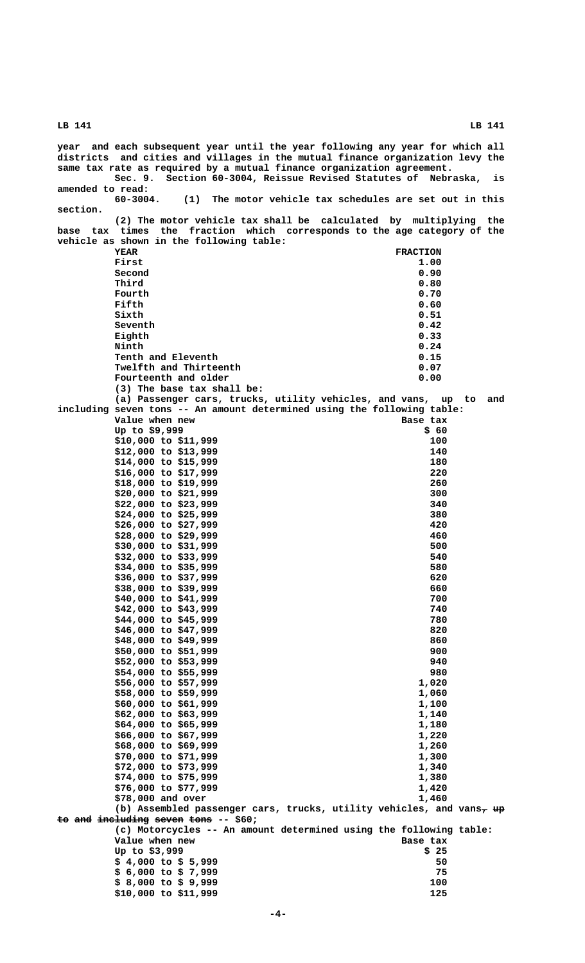|                  |                                                  | year and each subsequent year until the year following any year for which all<br>districts and cities and villages in the mutual finance organization levy the<br>same tax rate as required by a mutual finance organization agreement. |     |
|------------------|--------------------------------------------------|-----------------------------------------------------------------------------------------------------------------------------------------------------------------------------------------------------------------------------------------|-----|
| amended to read: | Sec. 9.                                          | Section 60-3004, Reissue Revised Statutes of Nebraska, is                                                                                                                                                                               |     |
| section.         | $60 - 3004.$                                     | (1) The motor vehicle tax schedules are set out in this                                                                                                                                                                                 |     |
|                  |                                                  | (2) The motor vehicle tax shall be calculated by multiplying the<br>base tax times the fraction which corresponds to the age category of the                                                                                            |     |
|                  | vehicle as shown in the following table:         |                                                                                                                                                                                                                                         |     |
|                  | YEAR                                             | <b>FRACTION</b>                                                                                                                                                                                                                         |     |
|                  | First                                            | 1.00                                                                                                                                                                                                                                    |     |
|                  | Second                                           | 0.90                                                                                                                                                                                                                                    |     |
|                  | Third                                            | 0.80                                                                                                                                                                                                                                    |     |
|                  | Fourth<br>Fifth                                  | 0.70<br>0.60                                                                                                                                                                                                                            |     |
|                  | Sixth                                            | 0.51                                                                                                                                                                                                                                    |     |
|                  | Seventh                                          | 0.42                                                                                                                                                                                                                                    |     |
|                  | Eighth                                           | 0.33                                                                                                                                                                                                                                    |     |
|                  | Ninth                                            | 0.24                                                                                                                                                                                                                                    |     |
|                  | Tenth and Eleventh                               | 0.15                                                                                                                                                                                                                                    |     |
|                  | Twelfth and Thirteenth                           | 0.07                                                                                                                                                                                                                                    |     |
|                  | Fourteenth and older                             | 0.00                                                                                                                                                                                                                                    |     |
|                  | (3) The base tax shall be:                       |                                                                                                                                                                                                                                         |     |
|                  |                                                  | (a) Passenger cars, trucks, utility vehicles, and vans, up to<br>including seven tons -- An amount determined using the following table:                                                                                                | and |
|                  | Value when new                                   | Base tax                                                                                                                                                                                                                                |     |
|                  | Up to \$9,999                                    | \$60                                                                                                                                                                                                                                    |     |
|                  | $$10,000$ to $$11,999$                           | 100                                                                                                                                                                                                                                     |     |
|                  | $$12,000$ to $$13,999$                           | 140                                                                                                                                                                                                                                     |     |
|                  | $$14,000$ to $$15,999$                           | 180                                                                                                                                                                                                                                     |     |
|                  | $$16,000$ to $$17,999$                           | 220                                                                                                                                                                                                                                     |     |
|                  | $$18,000$ to $$19,999$                           | 260                                                                                                                                                                                                                                     |     |
|                  | \$20,000 to \$21,999                             | 300                                                                                                                                                                                                                                     |     |
|                  | \$22,000 to \$23,999                             | 340                                                                                                                                                                                                                                     |     |
|                  | $$24,000$ to $$25,999$<br>$$26,000$ to $$27,999$ | 380<br>420                                                                                                                                                                                                                              |     |
|                  | \$28,000 to \$29,999                             | 460                                                                                                                                                                                                                                     |     |
|                  | \$30,000 to \$31,999                             | 500                                                                                                                                                                                                                                     |     |
|                  | $$32,000$ to $$33,999$                           | 540                                                                                                                                                                                                                                     |     |
|                  | \$34,000 to \$35,999                             | 580                                                                                                                                                                                                                                     |     |
|                  | $$36,000$ to $$37,999$                           | 620                                                                                                                                                                                                                                     |     |
|                  | \$38,000 to \$39,999                             | 660                                                                                                                                                                                                                                     |     |
|                  | $$40,000$ to $$41,999$                           | 700                                                                                                                                                                                                                                     |     |
|                  | $$42,000$ to $$43,999$<br>\$44,000 to \$45,999   | 740<br>780                                                                                                                                                                                                                              |     |
|                  | \$46,000 to \$47,999                             | 820                                                                                                                                                                                                                                     |     |
|                  | $$48,000$ to $$49,999$                           | 860                                                                                                                                                                                                                                     |     |
|                  | \$50,000 to \$51,999                             | 900                                                                                                                                                                                                                                     |     |
|                  | \$52,000 to \$53,999                             | 940                                                                                                                                                                                                                                     |     |
|                  | $$54,000$ to $$55,999$                           | 980                                                                                                                                                                                                                                     |     |
|                  | \$56,000 to \$57,999                             | 1,020                                                                                                                                                                                                                                   |     |
|                  | \$58,000 to \$59,999                             | 1,060                                                                                                                                                                                                                                   |     |
|                  | $$60,000$ to $$61,999$                           | 1,100                                                                                                                                                                                                                                   |     |
|                  | $$62,000$ to $$63,999$<br>$$64,000$ to $$65,999$ | 1,140<br>1,180                                                                                                                                                                                                                          |     |
|                  | $$66,000$ to $$67,999$                           | 1,220                                                                                                                                                                                                                                   |     |
|                  | $$68,000$ to $$69,999$                           | 1,260                                                                                                                                                                                                                                   |     |
|                  | $$70,000$ to $$71,999$                           | 1,300                                                                                                                                                                                                                                   |     |
|                  | $$72,000$ to $$73,999$                           | 1,340                                                                                                                                                                                                                                   |     |
|                  | \$74,000 to \$75,999                             | 1,380                                                                                                                                                                                                                                   |     |
|                  | $$76,000$ to $$77,999$                           | 1,420                                                                                                                                                                                                                                   |     |
|                  | \$78,000 and over                                | 1,460                                                                                                                                                                                                                                   |     |
|                  | to and including seven tons -- \$60;             | (b) Assembled passenger cars, trucks, utility vehicles, and vans $\tau$ up                                                                                                                                                              |     |
|                  |                                                  | (c) Motorcycles -- An amount determined using the following table:                                                                                                                                                                      |     |
|                  | Value when new                                   | Base tax                                                                                                                                                                                                                                |     |
|                  | Up to \$3,999                                    | \$25                                                                                                                                                                                                                                    |     |
|                  | $$4,000$ to $$5,999$                             | 50                                                                                                                                                                                                                                      |     |
|                  | $$6,000$ to $$7,999$                             | 75                                                                                                                                                                                                                                      |     |
|                  | $$8,000$ to $$9,999$                             | 100                                                                                                                                                                                                                                     |     |
|                  | \$10,000 to \$11,999                             | 125                                                                                                                                                                                                                                     |     |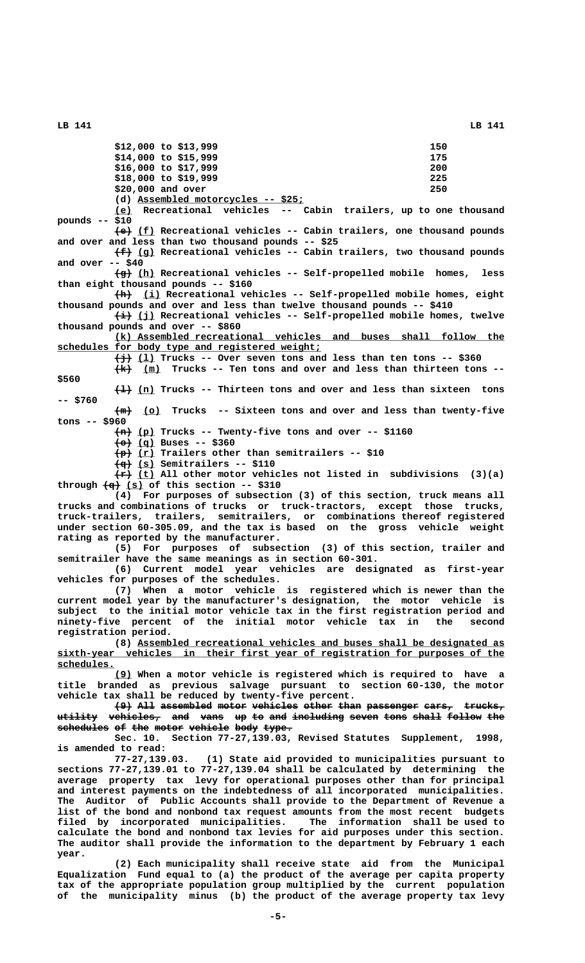| $$12,000$ to $$13,999$<br>$$14,000$ to $$15,999$                                                                                                                                                                                                           | 150<br>175                   |
|------------------------------------------------------------------------------------------------------------------------------------------------------------------------------------------------------------------------------------------------------------|------------------------------|
| $$16,000$ to $$17,999$                                                                                                                                                                                                                                     | 200                          |
| \$18,000 to \$19,999                                                                                                                                                                                                                                       | 225                          |
| \$20,000 and over                                                                                                                                                                                                                                          | 250                          |
| (d) Assembled motorcycles -- \$25;                                                                                                                                                                                                                         |                              |
| (e) Recreational vehicles -- Cabin trailers, up to one thousand<br>pounds $--$ \$10                                                                                                                                                                        |                              |
| $\leftarrow$ (f) Recreational vehicles -- Cabin trailers, one thousand pounds<br>and over and less than two thousand pounds -- \$25                                                                                                                        |                              |
| $(f+)(g)$ Recreational vehicles -- Cabin trailers, two thousand pounds                                                                                                                                                                                     |                              |
| and over $--$ \$40                                                                                                                                                                                                                                         |                              |
| $\frac{f}{g}$ (h) Recreational vehicles -- Self-propelled mobile homes, less<br>than eight thousand pounds -- \$160                                                                                                                                        |                              |
| $\left(\frac{h}{h}\right)$ (i) Recreational vehicles -- Self-propelled mobile homes, eight<br>thousand pounds and over and less than twelve thousand pounds -- \$410<br>$\leftrightarrow$ (j) Recreational vehicles -- Self-propelled mobile homes, twelve |                              |
| thousand pounds and over $--$ \$860                                                                                                                                                                                                                        |                              |
| (k) Assembled recreational vehicles and buses shall follow the                                                                                                                                                                                             |                              |
| schedules for body type and registered weight;                                                                                                                                                                                                             |                              |
| $\frac{1}{2}$ (1) Trucks -- Over seven tons and less than ten tons -- \$360                                                                                                                                                                                |                              |
| $\frac{1}{k}$ (m) Trucks -- Ten tons and over and less than thirteen tons --                                                                                                                                                                               |                              |
| \$560<br>$\{+\}$ (n) Trucks -- Thirteen tons and over and less than sixteen tons                                                                                                                                                                           |                              |
| $--$ \$760                                                                                                                                                                                                                                                 |                              |
| $\frac{1}{2}$ (o) Trucks -- Sixteen tons and over and less than twenty-five<br>$tons -- $960$                                                                                                                                                              |                              |
| $\frac{2}{n}$ (p) Trucks -- Twenty-five tons and over -- \$1160                                                                                                                                                                                            |                              |
| $\leftarrow \leftarrow$ (q) Buses -- \$360                                                                                                                                                                                                                 |                              |
| $\frac{p}{p}$ (r) Trailers other than semitrailers -- \$10<br>$\frac{1}{2}$ (s) Semitrailers -- \$110                                                                                                                                                      |                              |
| $\overleftrightarrow{f}$ (t) All other motor vehicles not listed in subdivisions (3)(a)                                                                                                                                                                    |                              |
| through $\left(\frac{q}{q}\right)$ (s) of this section -- \$310                                                                                                                                                                                            |                              |
| (4) For purposes of subsection (3) of this section, truck means all                                                                                                                                                                                        |                              |
| trucks and combinations of trucks or truck-tractors, except those trucks,                                                                                                                                                                                  |                              |
| truck-trailers, trailers, semitrailers, or combinations thereof registered<br>under section 60-305.09, and the tax is based on the gross vehicle weight                                                                                                    |                              |
| rating as reported by the manufacturer.                                                                                                                                                                                                                    |                              |
| (5) For purposes of subsection (3) of this section, trailer and                                                                                                                                                                                            |                              |
| semitrailer have the same meanings as in section 60-301.<br>(6) Current model year vehicles are designated as first-year                                                                                                                                   |                              |
| vehicles for purposes of the schedules.                                                                                                                                                                                                                    |                              |
| (7) When a motor vehicle is registered which is newer than the                                                                                                                                                                                             |                              |
| current model year by the manufacturer's designation, the motor vehicle is<br>subject to the initial motor vehicle tax in the first registration period and                                                                                                |                              |
| ninety-five percent of the initial motor vehicle tax in                                                                                                                                                                                                    | the<br>second                |
| registration period.                                                                                                                                                                                                                                       |                              |
| (8) Assembled recreational vehicles and buses shall be designated as<br>sixth-year vehicles in their first year of registration for purposes of the                                                                                                        |                              |
| schedules.                                                                                                                                                                                                                                                 |                              |
| (9) When a motor vehicle is registered which is required to have a                                                                                                                                                                                         |                              |
| title branded as previous salvage pursuant to section 60-130, the motor<br>vehicle tax shall be reduced by twenty-five percent.                                                                                                                            |                              |
| (9) All assembled motor vehicles other than passenger cars, trucks,                                                                                                                                                                                        |                              |
| utility vehicles, and vans up to and including seven tons shall follow the                                                                                                                                                                                 |                              |
| schedules of the motor vehicle body type.                                                                                                                                                                                                                  |                              |
| Sec. 10. Section 77-27,139.03, Revised Statutes Supplement, 1998,                                                                                                                                                                                          |                              |
| is amended to read:<br>77-27,139.03. (1) State aid provided to municipalities pursuant to                                                                                                                                                                  |                              |
| sections 77-27,139.01 to 77-27,139.04 shall be calculated by determining the                                                                                                                                                                               |                              |
| average property tax levy for operational purposes other than for principal                                                                                                                                                                                |                              |
| and interest payments on the indebtedness of all incorporated municipalities.                                                                                                                                                                              |                              |
| The Auditor of Public Accounts shall provide to the Department of Revenue a                                                                                                                                                                                |                              |
| list of the bond and nonbond tax request amounts from the most recent budgets<br>filed by incorporated municipalities.<br>The                                                                                                                              | information shall be used to |
| calculate the bond and nonbond tax levies for aid purposes under this section.                                                                                                                                                                             |                              |
| The auditor shall provide the information to the department by February 1 each                                                                                                                                                                             |                              |
| year.                                                                                                                                                                                                                                                      |                              |
| (2) Each municipality shall receive state aid from the Municipal<br>Equalization Fund equal to (a) the product of the average per capita property                                                                                                          |                              |

**tax of the appropriate population group multiplied by the current population of the municipality minus (b) the product of the average property tax levy**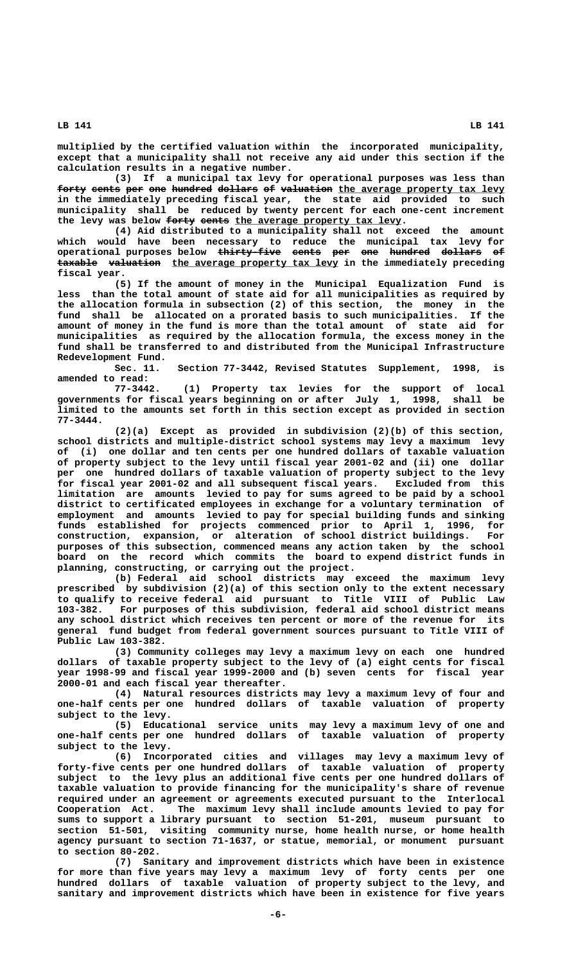**multiplied by the certified valuation within the incorporated municipality, except that a municipality shall not receive any aid under this section if the calculation results in a negative number.**

**(3) If a municipal tax levy for operational purposes was less than** forty cents per one hundred dollars of valuation the average property tax levy **in the immediately preceding fiscal year, the state aid provided to such municipality shall be reduced by twenty percent for each one-cent increment** the levy was below forty cents the average property tax levy.

**(4) Aid distributed to a municipality shall not exceed the amount which would have been necessary to reduce the municipal tax levy for operational purposes below thirty-five cents per one hundred dollars of ——————————— ————— ——— ——— ——————— ——————— —** taxable valuation the average property tax levy in the immediately preceding  **fiscal year.**

**(5) If the amount of money in the Municipal Equalization Fund is less than the total amount of state aid for all municipalities as required by the allocation formula in subsection (2) of this section, the money in the fund shall be allocated on a prorated basis to such municipalities. If the amount of money in the fund is more than the total amount of state aid for municipalities as required by the allocation formula, the excess money in the fund shall be transferred to and distributed from the Municipal Infrastructure Redevelopment Fund.**

**Sec. 11. Section 77-3442, Revised Statutes Supplement, 1998, is amended to read:**

**77-3442. (1) Property tax levies for the support of local governments for fiscal years beginning on or after July 1, 1998, shall be limited to the amounts set forth in this section except as provided in section 77-3444.**

**(2)(a) Except as provided in subdivision (2)(b) of this section, school districts and multiple-district school systems may levy a maximum levy of (i) one dollar and ten cents per one hundred dollars of taxable valuation of property subject to the levy until fiscal year 2001-02 and (ii) one dollar per one hundred dollars of taxable valuation of property subject to the levy for fiscal year 2001-02 and all subsequent fiscal years. Excluded from this limitation are amounts levied to pay for sums agreed to be paid by a school district to certificated employees in exchange for a voluntary termination of employment and amounts levied to pay for special building funds and sinking funds established for projects commenced prior to April 1, 1996, for construction, expansion, or alteration of school district buildings. For purposes of this subsection, commenced means any action taken by the school board on the record which commits the board to expend district funds in planning, constructing, or carrying out the project.**

**(b) Federal aid school districts may exceed the maximum levy prescribed by subdivision (2)(a) of this section only to the extent necessary to qualify to receive federal aid pursuant to Title VIII of Public Law 103-382. For purposes of this subdivision, federal aid school district means any school district which receives ten percent or more of the revenue for its general fund budget from federal government sources pursuant to Title VIII of Public Law 103-382.**

**(3) Community colleges may levy a maximum levy on each one hundred dollars of taxable property subject to the levy of (a) eight cents for fiscal year 1998-99 and fiscal year 1999-2000 and (b) seven cents for fiscal year 2000-01 and each fiscal year thereafter.**

**(4) Natural resources districts may levy a maximum levy of four and one-half cents per one hundred dollars of taxable valuation of property subject to the levy.**

**(5) Educational service units may levy a maximum levy of one and one-half cents per one hundred dollars of taxable valuation of property subject to the levy.**

**(6) Incorporated cities and villages may levy a maximum levy of forty-five cents per one hundred dollars of taxable valuation of property subject to the levy plus an additional five cents per one hundred dollars of taxable valuation to provide financing for the municipality's share of revenue required under an agreement or agreements executed pursuant to the Interlocal Cooperation Act. The maximum levy shall include amounts levied to pay for sums to support a library pursuant to section 51-201, museum pursuant to section 51-501, visiting community nurse, home health nurse, or home health agency pursuant to section 71-1637, or statue, memorial, or monument pursuant to section 80-202.**

**(7) Sanitary and improvement districts which have been in existence for more than five years may levy a maximum levy of forty cents per one hundred dollars of taxable valuation of property subject to the levy, and sanitary and improvement districts which have been in existence for five years**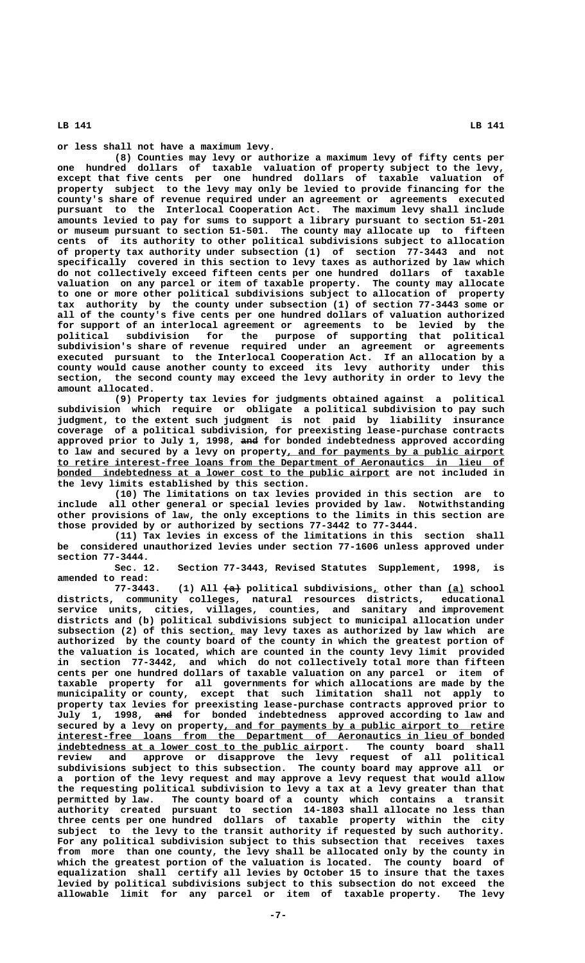**or less shall not have a maximum levy.**

**(8) Counties may levy or authorize a maximum levy of fifty cents per one hundred dollars of taxable valuation of property subject to the levy, except that five cents per one hundred dollars of taxable valuation of property subject to the levy may only be levied to provide financing for the county's share of revenue required under an agreement or agreements executed pursuant to the Interlocal Cooperation Act. The maximum levy shall include amounts levied to pay for sums to support a library pursuant to section 51-201 or museum pursuant to section 51-501. The county may allocate up to fifteen cents of its authority to other political subdivisions subject to allocation of property tax authority under subsection (1) of section 77-3443 and not specifically covered in this section to levy taxes as authorized by law which do not collectively exceed fifteen cents per one hundred dollars of taxable valuation on any parcel or item of taxable property. The county may allocate to one or more other political subdivisions subject to allocation of property tax authority by the county under subsection (1) of section 77-3443 some or all of the county's five cents per one hundred dollars of valuation authorized for support of an interlocal agreement or agreements to be levied by the political subdivision for the purpose of supporting that political subdivision's share of revenue required under an agreement or agreements executed pursuant to the Interlocal Cooperation Act. If an allocation by a county would cause another county to exceed its levy authority under this section, the second county may exceed the levy authority in order to levy the amount allocated.**

**(9) Property tax levies for judgments obtained against a political subdivision which require or obligate a political subdivision to pay such judgment, to the extent such judgment is not paid by liability insurance coverage of a political subdivision, for preexisting lease-purchase contracts** approved prior to July 1, 1998, and for bonded indebtedness approved according to law and secured by a levy on property, and for payments by a public airport  **\_\_\_\_\_\_\_\_\_\_\_\_\_\_\_\_\_\_\_\_\_\_\_\_\_\_\_\_\_\_\_\_\_\_\_\_\_\_\_\_\_\_\_\_\_\_\_\_\_\_\_\_\_\_\_\_\_\_\_\_\_\_\_\_\_\_\_\_\_\_\_\_\_\_\_\_\_\_ to retire interest-free loans from the Department of Aeronautics in lieu of** bonded indebtedness at a lower cost to the public airport are not included in **the levy limits established by this section.**

**(10) The limitations on tax levies provided in this section are to include all other general or special levies provided by law. Notwithstanding other provisions of law, the only exceptions to the limits in this section are those provided by or authorized by sections 77-3442 to 77-3444.**

**(11) Tax levies in excess of the limitations in this section shall be considered unauthorized levies under section 77-1606 unless approved under section 77-3444.**

**Sec. 12. Section 77-3443, Revised Statutes Supplement, 1998, is amended to read:**

(1) All  $\left\lbrace a \right\rbrace$  political subdivisions, other than <u>(a)</u> school **districts, community colleges, natural resources districts, educational service units, cities, villages, counties, and sanitary and improvement districts and (b) political subdivisions subject to municipal allocation under \_ subsection (2) of this section, may levy taxes as authorized by law which are authorized by the county board of the county in which the greatest portion of the valuation is located, which are counted in the county levy limit provided in section 77-3442, and which do not collectively total more than fifteen cents per one hundred dollars of taxable valuation on any parcel or item of taxable property for all governments for which allocations are made by the municipality or county, except that such limitation shall not apply to property tax levies for preexisting lease-purchase contracts approved prior to ——— July 1, 1998, and for bonded indebtedness approved according to law and** secured by a levy on property, and for payments by a public airport to retire  **\_\_\_\_\_\_\_\_\_\_\_\_\_\_\_\_\_\_\_\_\_\_\_\_\_\_\_\_\_\_\_\_\_\_\_\_\_\_\_\_\_\_\_\_\_\_\_\_\_\_\_\_\_\_\_\_\_\_\_\_\_\_\_\_\_\_\_\_\_\_\_\_\_\_\_\_\_\_ interest-free loans from the Department of Aeronautics in lieu of bonded** indebtedness at a lower cost to the public airport. The county board shall **review and approve or disapprove the levy request of all political subdivisions subject to this subsection. The county board may approve all or a portion of the levy request and may approve a levy request that would allow the requesting political subdivision to levy a tax at a levy greater than that permitted by law. The county board of a county which contains a transit authority created pursuant to section 14-1803 shall allocate no less than three cents per one hundred dollars of taxable property within the city subject to the levy to the transit authority if requested by such authority. For any political subdivision subject to this subsection that receives taxes from more than one county, the levy shall be allocated only by the county in which the greatest portion of the valuation is located. The county board of equalization shall certify all levies by October 15 to insure that the taxes levied by political subdivisions subject to this subsection do not exceed the allowable limit for any parcel or item of taxable property. The levy**

 **LB 141 LB 141**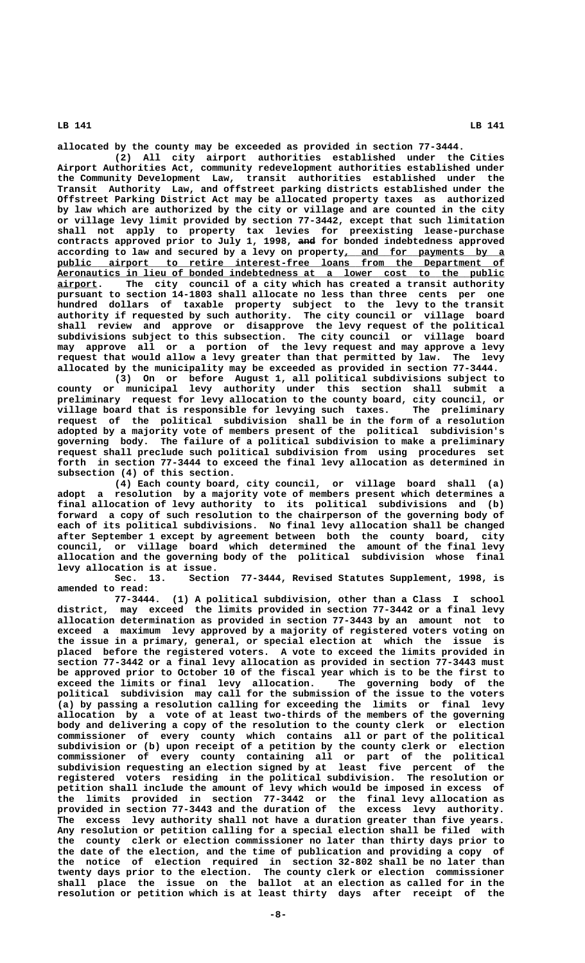**allocated by the county may be exceeded as provided in section 77-3444.**

**(2) All city airport authorities established under the Cities Airport Authorities Act, community redevelopment authorities established under the Community Development Law, transit authorities established under the Transit Authority Law, and offstreet parking districts established under the Offstreet Parking District Act may be allocated property taxes as authorized by law which are authorized by the city or village and are counted in the city or village levy limit provided by section 77-3442, except that such limitation shall not apply to property tax levies for preexisting lease-purchase ——— contracts approved prior to July 1, 1998, and for bonded indebtedness approved** according to law and secured by a levy on property, and for payments by a  **\_\_\_\_\_\_\_\_\_\_\_\_\_\_\_\_\_\_\_\_\_\_\_\_\_\_\_\_\_\_\_\_\_\_\_\_\_\_\_\_\_\_\_\_\_\_\_\_\_\_\_\_\_\_\_\_\_\_\_\_\_\_\_\_\_\_\_\_\_\_\_\_\_\_\_\_\_\_ public airport to retire interest-free loans from the Department of \_\_\_\_\_\_\_\_\_\_\_\_\_\_\_\_\_\_\_\_\_\_\_\_\_\_\_\_\_\_\_\_\_\_\_\_\_\_\_\_\_\_\_\_\_\_\_\_\_\_\_\_\_\_\_\_\_\_\_\_\_\_\_\_\_\_\_\_\_\_\_\_\_\_\_\_\_\_ Aeronautics in lieu of bonded indebtedness at a lower cost to the public \_\_\_\_\_\_\_ airport. The city council of a city which has created a transit authority pursuant to section 14-1803 shall allocate no less than three cents per one hundred dollars of taxable property subject to the levy to the transit authority if requested by such authority. The city council or village board shall review and approve or disapprove the levy request of the political subdivisions subject to this subsection. The city council or village board may approve all or a portion of the levy request and may approve a levy request that would allow a levy greater than that permitted by law. The levy allocated by the municipality may be exceeded as provided in section 77-3444.**

> **(3) On or before August 1, all political subdivisions subject to county or municipal levy authority under this section shall submit a preliminary request for levy allocation to the county board, city council, or** village board that is responsible for levying such taxes. **request of the political subdivision shall be in the form of a resolution adopted by a majority vote of members present of the political subdivision's governing body. The failure of a political subdivision to make a preliminary request shall preclude such political subdivision from using procedures set forth in section 77-3444 to exceed the final levy allocation as determined in subsection (4) of this section.**

> **(4) Each county board, city council, or village board shall (a) adopt a resolution by a majority vote of members present which determines a final allocation of levy authority to its political subdivisions and (b) forward a copy of such resolution to the chairperson of the governing body of each of its political subdivisions. No final levy allocation shall be changed after September 1 except by agreement between both the county board, city council, or village board which determined the amount of the final levy allocation and the governing body of the political subdivision whose final levy allocation is at issue.**

> Section 77-3444, Revised Statutes Supplement, 1998, is **amended to read:**

> **77-3444. (1) A political subdivision, other than a Class I school district, may exceed the limits provided in section 77-3442 or a final levy allocation determination as provided in section 77-3443 by an amount not to exceed a maximum levy approved by a majority of registered voters voting on the issue in a primary, general, or special election at which the issue is placed before the registered voters. A vote to exceed the limits provided in section 77-3442 or a final levy allocation as provided in section 77-3443 must be approved prior to October 10 of the fiscal year which is to be the first to exceed the limits or final levy allocation. The governing body of the political subdivision may call for the submission of the issue to the voters (a) by passing a resolution calling for exceeding the limits or final levy allocation by a vote of at least two-thirds of the members of the governing body and delivering a copy of the resolution to the county clerk or election commissioner of every county which contains all or part of the political subdivision or (b) upon receipt of a petition by the county clerk or election commissioner of every county containing all or part of the political subdivision requesting an election signed by at least five percent of the registered voters residing in the political subdivision. The resolution or petition shall include the amount of levy which would be imposed in excess of the limits provided in section 77-3442 or the final levy allocation as provided in section 77-3443 and the duration of the excess levy authority. The excess levy authority shall not have a duration greater than five years. Any resolution or petition calling for a special election shall be filed with the county clerk or election commissioner no later than thirty days prior to the date of the election, and the time of publication and providing a copy of the notice of election required in section 32-802 shall be no later than twenty days prior to the election. The county clerk or election commissioner shall place the issue on the ballot at an election as called for in the resolution or petition which is at least thirty days after receipt of the**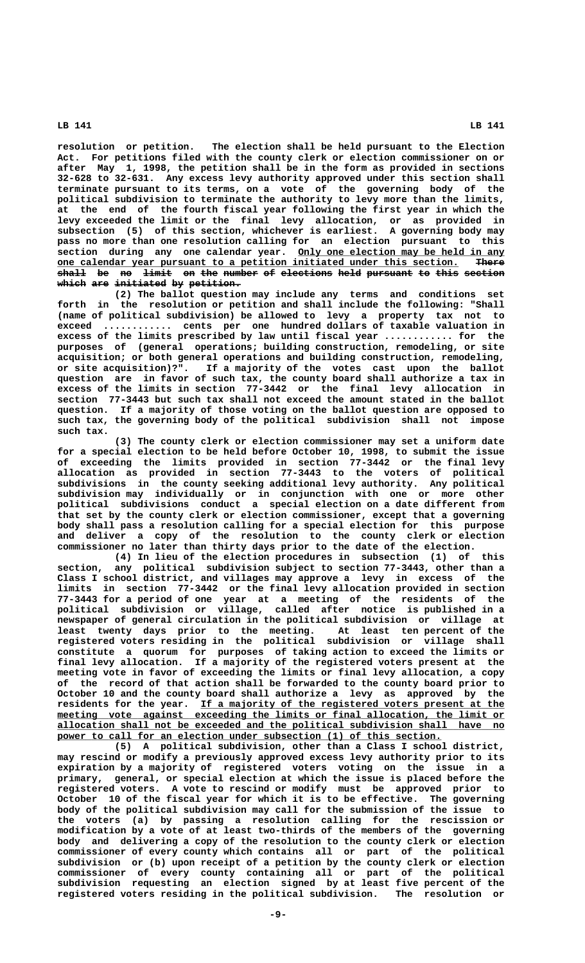**resolution or petition. The election shall be held pursuant to the Election Act. For petitions filed with the county clerk or election commissioner on or after May 1, 1998, the petition shall be in the form as provided in sections 32-628 to 32-631. Any excess levy authority approved under this section shall terminate pursuant to its terms, on a vote of the governing body of the political subdivision to terminate the authority to levy more than the limits, at the end of the fourth fiscal year following the first year in which the levy exceeded the limit or the final levy allocation, or as provided in subsection (5) of this section, whichever is earliest. A governing body may pass no more than one resolution calling for an election pursuant to this \_\_\_\_\_\_\_\_\_\_\_\_\_\_\_\_\_\_\_\_\_\_\_\_\_\_\_\_\_\_\_\_\_\_\_\_ section during any one calendar year. Only one election may be held in any \_\_\_\_\_\_\_\_\_\_\_\_\_\_\_\_\_\_\_\_\_\_\_\_\_\_\_\_\_\_\_\_\_\_\_\_\_\_\_\_\_\_\_\_\_\_\_\_\_\_\_\_\_\_\_\_\_\_\_\_\_\_\_\_\_\_\_\_\_\_ ————— one calendar year pursuant to a petition initiated under this section. There** shall be no limit on the number of elections held pursuant to this section which are initiated by petition.

**(2) The ballot question may include any terms and conditions set forth in the resolution or petition and shall include the following: "Shall (name of political subdivision) be allowed to levy a property tax not to exceed ............ cents per one hundred dollars of taxable valuation in excess of the limits prescribed by law until fiscal year ............ for the purposes of (general operations; building construction, remodeling, or site acquisition; or both general operations and building construction, remodeling, or site acquisition)?". If a majority of the votes cast upon the ballot question are in favor of such tax, the county board shall authorize a tax in excess of the limits in section 77-3442 or the final levy allocation in section 77-3443 but such tax shall not exceed the amount stated in the ballot question. If a majority of those voting on the ballot question are opposed to such tax, the governing body of the political subdivision shall not impose such tax.**

**(3) The county clerk or election commissioner may set a uniform date for a special election to be held before October 10, 1998, to submit the issue of exceeding the limits provided in section 77-3442 or the final levy allocation as provided in section 77-3443 to the voters of political subdivisions in the county seeking additional levy authority. Any political subdivision may individually or in conjunction with one or more other political subdivisions conduct a special election on a date different from that set by the county clerk or election commissioner, except that a governing body shall pass a resolution calling for a special election for this purpose and deliver a copy of the resolution to the county clerk or election commissioner no later than thirty days prior to the date of the election.**

**(4) In lieu of the election procedures in subsection (1) of this section, any political subdivision subject to section 77-3443, other than a Class I school district, and villages may approve a levy in excess of the limits in section 77-3442 or the final levy allocation provided in section 77-3443 for a period of one year at a meeting of the residents of the political subdivision or village, called after notice is published in a newspaper of general circulation in the political subdivision or village at least twenty days prior to the meeting. At least ten percent of the registered voters residing in the political subdivision or village shall constitute a quorum for purposes of taking action to exceed the limits or final levy allocation. If a majority of the registered voters present at the meeting vote in favor of exceeding the limits or final levy allocation, a copy of the record of that action shall be forwarded to the county board prior to October 10 and the county board shall authorize a levy as approved by the** residents for the year. I<u>f a majority of the registered voters present at the</u>  **\_\_\_\_\_\_\_\_\_\_\_\_\_\_\_\_\_\_\_\_\_\_\_\_\_\_\_\_\_\_\_\_\_\_\_\_\_\_\_\_\_\_\_\_\_\_\_\_\_\_\_\_\_\_\_\_\_\_\_\_\_\_\_\_\_\_\_\_\_\_\_\_\_\_\_\_\_\_ meeting vote against exceeding the limits or final allocation, the limit or \_\_\_\_\_\_\_\_\_\_\_\_\_\_\_\_\_\_\_\_\_\_\_\_\_\_\_\_\_\_\_\_\_\_\_\_\_\_\_\_\_\_\_\_\_\_\_\_\_\_\_\_\_\_\_\_\_\_\_\_\_\_\_\_\_\_\_\_\_\_\_\_\_\_\_\_\_\_ allocation shall not be exceeded and the political subdivision shall have no** power to call for an election under subsection (1) of this section.

**(5) A political subdivision, other than a Class I school district, may rescind or modify a previously approved excess levy authority prior to its expiration by a majority of registered voters voting on the issue in a primary, general, or special election at which the issue is placed before the registered voters. A vote to rescind or modify must be approved prior to October 10 of the fiscal year for which it is to be effective. The governing body of the political subdivision may call for the submission of the issue to the voters (a) by passing a resolution calling for the rescission or modification by a vote of at least two-thirds of the members of the governing body and delivering a copy of the resolution to the county clerk or election commissioner of every county which contains all or part of the political subdivision or (b) upon receipt of a petition by the county clerk or election commissioner of every county containing all or part of the political subdivision requesting an election signed by at least five percent of the registered voters residing in the political subdivision. The resolution or**